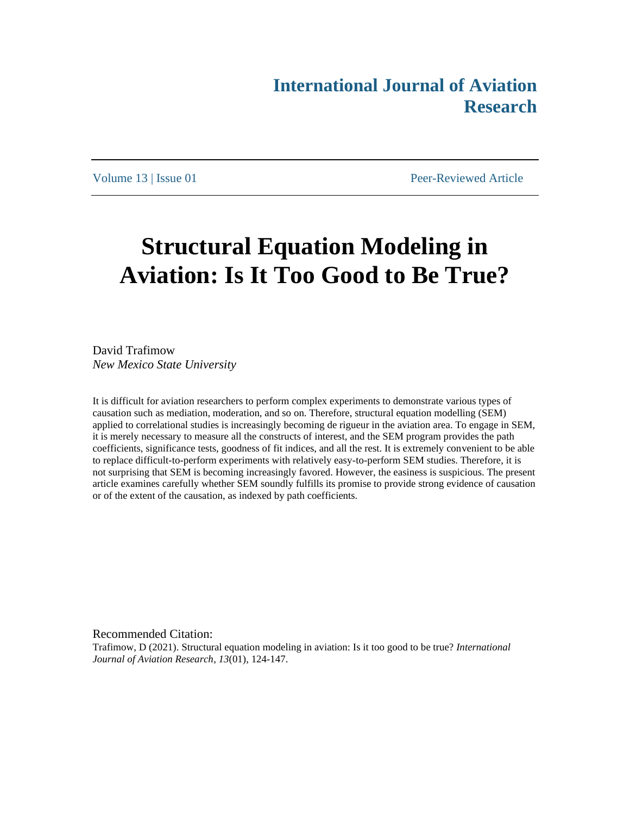# **International Journal of Aviation Research**

Volume 13 | Issue 01 Peer-Reviewed Article

# **Structural Equation Modeling in Aviation: Is It Too Good to Be True?**

David Trafimow *New Mexico State University*

It is difficult for aviation researchers to perform complex experiments to demonstrate various types of causation such as mediation, moderation, and so on. Therefore, structural equation modelling (SEM) applied to correlational studies is increasingly becoming de rigueur in the aviation area. To engage in SEM, it is merely necessary to measure all the constructs of interest, and the SEM program provides the path coefficients, significance tests, goodness of fit indices, and all the rest. It is extremely convenient to be able to replace difficult-to-perform experiments with relatively easy-to-perform SEM studies. Therefore, it is not surprising that SEM is becoming increasingly favored. However, the easiness is suspicious. The present article examines carefully whether SEM soundly fulfills its promise to provide strong evidence of causation or of the extent of the causation, as indexed by path coefficients.

Recommended Citation:

Trafimow, D (2021). Structural equation modeling in aviation: Is it too good to be true? *International Journal of Aviation Research, 13*(01), 124-147.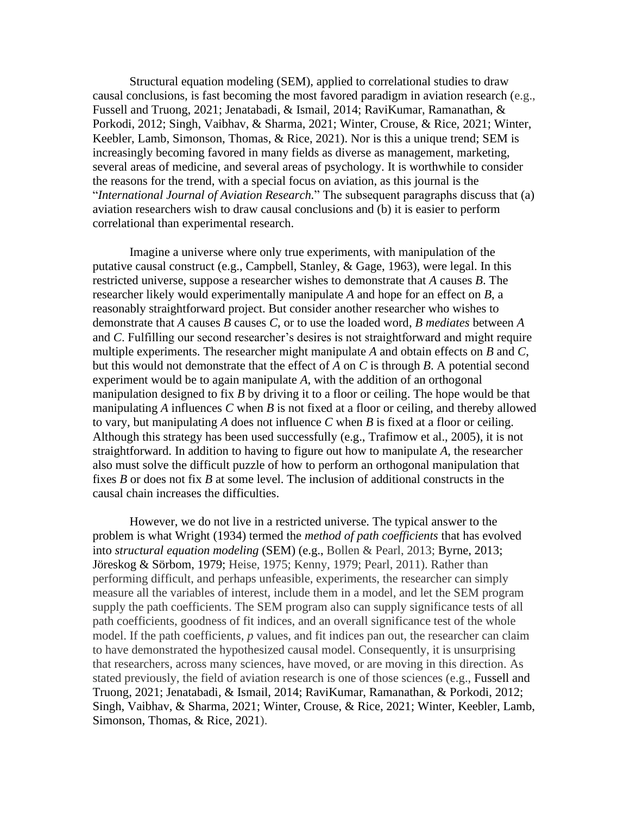Structural equation modeling (SEM), applied to correlational studies to draw causal conclusions, is fast becoming the most favored paradigm in aviation research (e.g., Fussell and Truong, 2021; Jenatabadi, & Ismail, 2014; RaviKumar, Ramanathan, & Porkodi, 2012; Singh, Vaibhav, & Sharma, 2021; Winter, Crouse, & Rice, 2021; Winter, Keebler, Lamb, Simonson, Thomas, & Rice, 2021). Nor is this a unique trend; SEM is increasingly becoming favored in many fields as diverse as management, marketing, several areas of medicine, and several areas of psychology. It is worthwhile to consider the reasons for the trend, with a special focus on aviation, as this journal is the "*International Journal of Aviation Research.*" The subsequent paragraphs discuss that (a) aviation researchers wish to draw causal conclusions and (b) it is easier to perform correlational than experimental research.

Imagine a universe where only true experiments, with manipulation of the putative causal construct (e.g., Campbell, Stanley, & Gage, 1963), were legal. In this restricted universe, suppose a researcher wishes to demonstrate that *A* causes *B*. The researcher likely would experimentally manipulate *A* and hope for an effect on *B*, a reasonably straightforward project. But consider another researcher who wishes to demonstrate that *A* causes *B* causes *C*, or to use the loaded word, *B mediates* between *A* and *C*. Fulfilling our second researcher's desires is not straightforward and might require multiple experiments. The researcher might manipulate *A* and obtain effects on *B* and *C*, but this would not demonstrate that the effect of *A* on *C* is through *B*. A potential second experiment would be to again manipulate *A*, with the addition of an orthogonal manipulation designed to fix *B* by driving it to a floor or ceiling. The hope would be that manipulating *A* influences *C* when *B* is not fixed at a floor or ceiling, and thereby allowed to vary, but manipulating *A* does not influence *C* when *B* is fixed at a floor or ceiling. Although this strategy has been used successfully (e.g., Trafimow et al., 2005), it is not straightforward. In addition to having to figure out how to manipulate *A*, the researcher also must solve the difficult puzzle of how to perform an orthogonal manipulation that fixes *B* or does not fix *B* at some level. The inclusion of additional constructs in the causal chain increases the difficulties.

However, we do not live in a restricted universe. The typical answer to the problem is what Wright (1934) termed the *method of path coefficients* that has evolved into *structural equation modeling* (SEM) (e.g., Bollen & Pearl, 2013; Byrne, 2013; Jöreskog & Sörbom, 1979; Heise, 1975; Kenny, 1979; Pearl, 2011). Rather than performing difficult, and perhaps unfeasible, experiments, the researcher can simply measure all the variables of interest, include them in a model, and let the SEM program supply the path coefficients. The SEM program also can supply significance tests of all path coefficients, goodness of fit indices, and an overall significance test of the whole model. If the path coefficients, *p* values, and fit indices pan out, the researcher can claim to have demonstrated the hypothesized causal model. Consequently, it is unsurprising that researchers, across many sciences, have moved, or are moving in this direction. As stated previously, the field of aviation research is one of those sciences (e.g., Fussell and Truong, 2021; Jenatabadi, & Ismail, 2014; RaviKumar, Ramanathan, & Porkodi, 2012; Singh, Vaibhav, & Sharma, 2021; Winter, Crouse, & Rice, 2021; Winter, Keebler, Lamb, Simonson, Thomas, & Rice, 2021).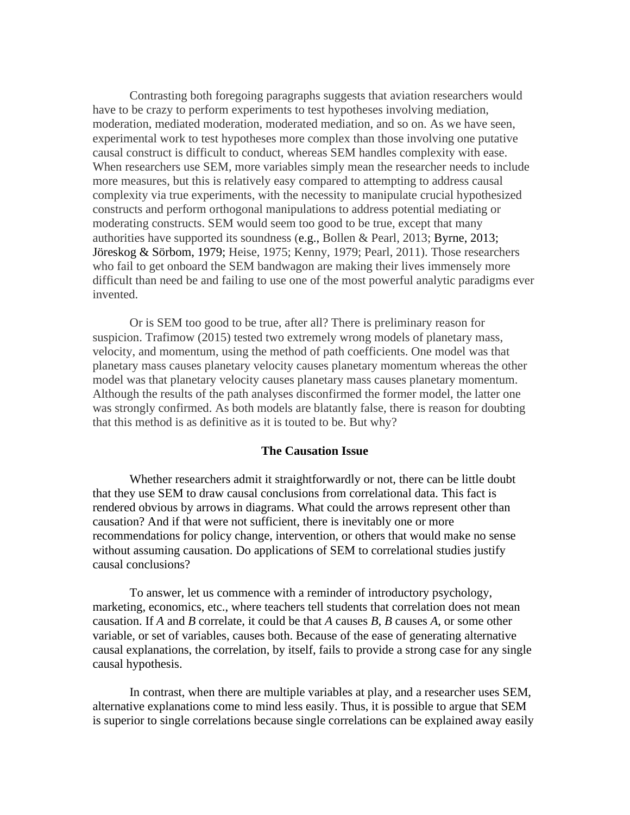Contrasting both foregoing paragraphs suggests that aviation researchers would have to be crazy to perform experiments to test hypotheses involving mediation, moderation, mediated moderation, moderated mediation, and so on. As we have seen, experimental work to test hypotheses more complex than those involving one putative causal construct is difficult to conduct, whereas SEM handles complexity with ease. When researchers use SEM, more variables simply mean the researcher needs to include more measures, but this is relatively easy compared to attempting to address causal complexity via true experiments, with the necessity to manipulate crucial hypothesized constructs and perform orthogonal manipulations to address potential mediating or moderating constructs. SEM would seem too good to be true, except that many authorities have supported its soundness (e.g., Bollen & Pearl, 2013; Byrne, 2013; Jöreskog & Sörbom, 1979; Heise, 1975; Kenny, 1979; Pearl, 2011). Those researchers who fail to get onboard the SEM bandwagon are making their lives immensely more difficult than need be and failing to use one of the most powerful analytic paradigms ever invented.

Or is SEM too good to be true, after all? There is preliminary reason for suspicion. Trafimow (2015) tested two extremely wrong models of planetary mass, velocity, and momentum, using the method of path coefficients. One model was that planetary mass causes planetary velocity causes planetary momentum whereas the other model was that planetary velocity causes planetary mass causes planetary momentum. Although the results of the path analyses disconfirmed the former model, the latter one was strongly confirmed. As both models are blatantly false, there is reason for doubting that this method is as definitive as it is touted to be. But why?

# **The Causation Issue**

Whether researchers admit it straightforwardly or not, there can be little doubt that they use SEM to draw causal conclusions from correlational data. This fact is rendered obvious by arrows in diagrams. What could the arrows represent other than causation? And if that were not sufficient, there is inevitably one or more recommendations for policy change, intervention, or others that would make no sense without assuming causation. Do applications of SEM to correlational studies justify causal conclusions?

To answer, let us commence with a reminder of introductory psychology, marketing, economics, etc., where teachers tell students that correlation does not mean causation. If *A* and *B* correlate, it could be that *A* causes *B*, *B* causes *A*, or some other variable, or set of variables, causes both. Because of the ease of generating alternative causal explanations, the correlation, by itself, fails to provide a strong case for any single causal hypothesis.

In contrast, when there are multiple variables at play, and a researcher uses SEM, alternative explanations come to mind less easily. Thus, it is possible to argue that SEM is superior to single correlations because single correlations can be explained away easily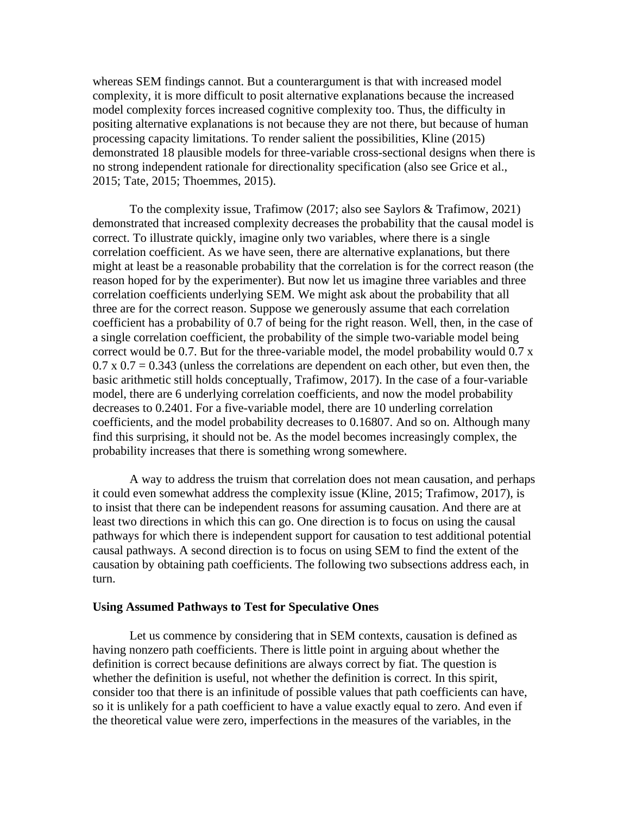whereas SEM findings cannot. But a counterargument is that with increased model complexity, it is more difficult to posit alternative explanations because the increased model complexity forces increased cognitive complexity too. Thus, the difficulty in positing alternative explanations is not because they are not there, but because of human processing capacity limitations. To render salient the possibilities, Kline (2015) demonstrated 18 plausible models for three-variable cross-sectional designs when there is no strong independent rationale for directionality specification (also see Grice et al., 2015; Tate, 2015; Thoemmes, 2015).

To the complexity issue, Trafimow (2017; also see Saylors & Trafimow, 2021) demonstrated that increased complexity decreases the probability that the causal model is correct. To illustrate quickly, imagine only two variables, where there is a single correlation coefficient. As we have seen, there are alternative explanations, but there might at least be a reasonable probability that the correlation is for the correct reason (the reason hoped for by the experimenter). But now let us imagine three variables and three correlation coefficients underlying SEM. We might ask about the probability that all three are for the correct reason. Suppose we generously assume that each correlation coefficient has a probability of 0.7 of being for the right reason. Well, then, in the case of a single correlation coefficient, the probability of the simple two-variable model being correct would be 0.7. But for the three-variable model, the model probability would 0.7 x  $0.7 \times 0.7 = 0.343$  (unless the correlations are dependent on each other, but even then, the basic arithmetic still holds conceptually, Trafimow, 2017). In the case of a four-variable model, there are 6 underlying correlation coefficients, and now the model probability decreases to 0.2401. For a five-variable model, there are 10 underling correlation coefficients, and the model probability decreases to 0.16807. And so on. Although many find this surprising, it should not be. As the model becomes increasingly complex, the probability increases that there is something wrong somewhere.

A way to address the truism that correlation does not mean causation, and perhaps it could even somewhat address the complexity issue (Kline, 2015; Trafimow, 2017), is to insist that there can be independent reasons for assuming causation. And there are at least two directions in which this can go. One direction is to focus on using the causal pathways for which there is independent support for causation to test additional potential causal pathways. A second direction is to focus on using SEM to find the extent of the causation by obtaining path coefficients. The following two subsections address each, in turn.

#### **Using Assumed Pathways to Test for Speculative Ones**

Let us commence by considering that in SEM contexts, causation is defined as having nonzero path coefficients. There is little point in arguing about whether the definition is correct because definitions are always correct by fiat. The question is whether the definition is useful, not whether the definition is correct. In this spirit, consider too that there is an infinitude of possible values that path coefficients can have, so it is unlikely for a path coefficient to have a value exactly equal to zero. And even if the theoretical value were zero, imperfections in the measures of the variables, in the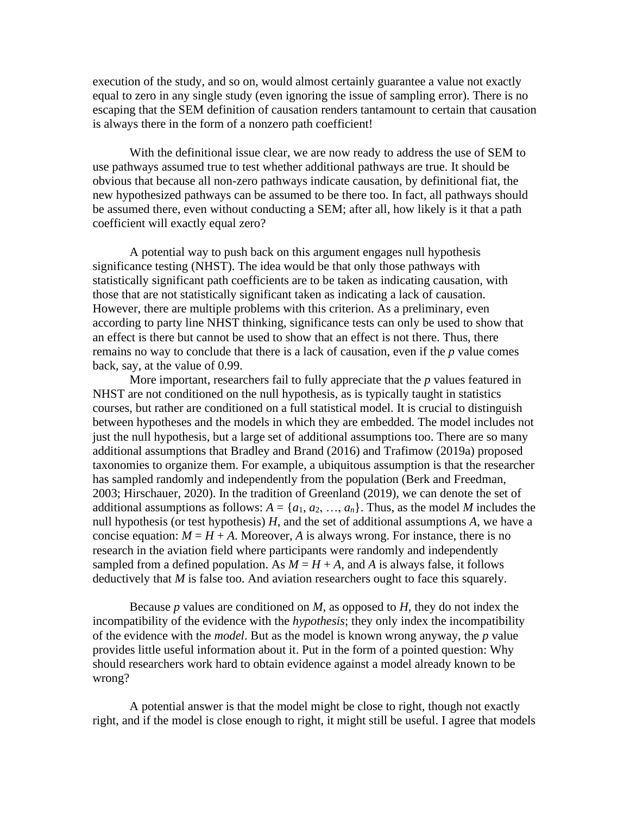execution of the study, and so on, would almost certainly guarantee a value not exactly equal to zero in any single study (even ignoring the issue of sampling error). There is no escaping that the SEM definition of causation renders tantamount to certain that causation is always there in the form of a nonzero path coefficient!

With the definitional issue clear, we are now ready to address the use of SEM to use pathways assumed true to test whether additional pathways are true. It should be obvious that because all non-zero pathways indicate causation, by definitional fiat, the new hypothesized pathways can be assumed to be there too. In fact, all pathways should be assumed there, even without conducting a SEM; after all, how likely is it that a path coefficient will exactly equal zero?

A potential way to push back on this argument engages null hypothesis significance testing (NHST). The idea would be that only those pathways with statistically significant path coefficients are to be taken as indicating causation, with those that are not statistically significant taken as indicating a lack of causation. However, there are multiple problems with this criterion. As a preliminary, even according to party line NHST thinking, significance tests can only be used to show that an effect is there but cannot be used to show that an effect is not there. Thus, there remains no way to conclude that there is a lack of causation, even if the *p* value comes back, say, at the value of 0.99.

More important, researchers fail to fully appreciate that the *p* values featured in NHST are not conditioned on the null hypothesis, as is typically taught in statistics courses, but rather are conditioned on a full statistical model. It is crucial to distinguish between hypotheses and the models in which they are embedded. The model includes not just the null hypothesis, but a large set of additional assumptions too. There are so many additional assumptions that Bradley and Brand (2016) and Trafimow (2019a) proposed taxonomies to organize them. For example, a ubiquitous assumption is that the researcher has sampled randomly and independently from the population (Berk and Freedman, 2003; Hirschauer, 2020). In the tradition of Greenland (2019), we can denote the set of additional assumptions as follows:  $A = \{a_1, a_2, ..., a_n\}$ . Thus, as the model *M* includes the null hypothesis (or test hypothesis) *H*, and the set of additional assumptions *A*, we have a concise equation:  $M = H + A$ . Moreover, A is always wrong. For instance, there is no research in the aviation field where participants were randomly and independently sampled from a defined population. As  $M = H + A$ , and A is always false, it follows deductively that *M* is false too. And aviation researchers ought to face this squarely.

Because *p* values are conditioned on *M*, as opposed to *H*, they do not index the incompatibility of the evidence with the *hypothesis*; they only index the incompatibility of the evidence with the *model*. But as the model is known wrong anyway, the *p* value provides little useful information about it. Put in the form of a pointed question: Why should researchers work hard to obtain evidence against a model already known to be wrong?

A potential answer is that the model might be close to right, though not exactly right, and if the model is close enough to right, it might still be useful. I agree that models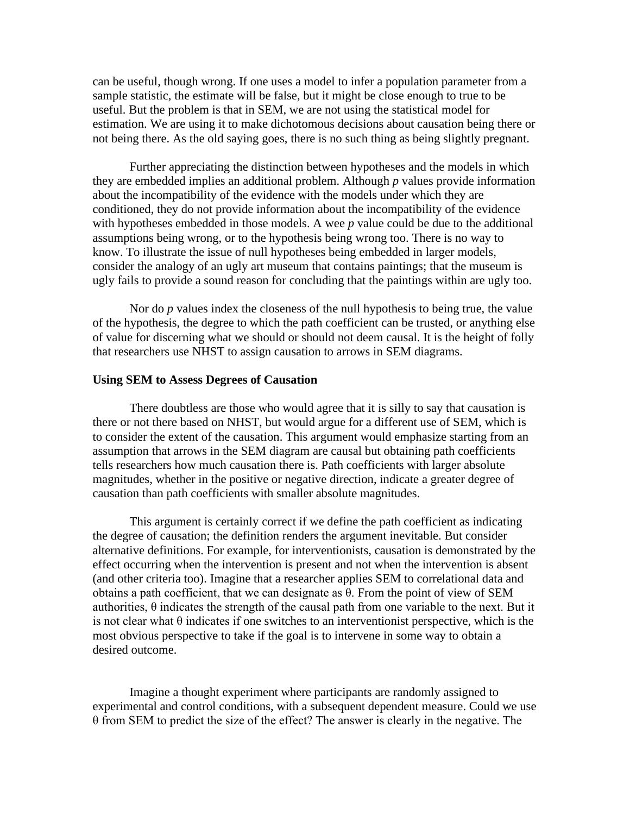can be useful, though wrong. If one uses a model to infer a population parameter from a sample statistic, the estimate will be false, but it might be close enough to true to be useful. But the problem is that in SEM, we are not using the statistical model for estimation. We are using it to make dichotomous decisions about causation being there or not being there. As the old saying goes, there is no such thing as being slightly pregnant.

Further appreciating the distinction between hypotheses and the models in which they are embedded implies an additional problem. Although *p* values provide information about the incompatibility of the evidence with the models under which they are conditioned, they do not provide information about the incompatibility of the evidence with hypotheses embedded in those models. A wee *p* value could be due to the additional assumptions being wrong, or to the hypothesis being wrong too. There is no way to know. To illustrate the issue of null hypotheses being embedded in larger models, consider the analogy of an ugly art museum that contains paintings; that the museum is ugly fails to provide a sound reason for concluding that the paintings within are ugly too.

Nor do *p* values index the closeness of the null hypothesis to being true, the value of the hypothesis, the degree to which the path coefficient can be trusted, or anything else of value for discerning what we should or should not deem causal. It is the height of folly that researchers use NHST to assign causation to arrows in SEM diagrams.

# **Using SEM to Assess Degrees of Causation**

There doubtless are those who would agree that it is silly to say that causation is there or not there based on NHST, but would argue for a different use of SEM, which is to consider the extent of the causation. This argument would emphasize starting from an assumption that arrows in the SEM diagram are causal but obtaining path coefficients tells researchers how much causation there is. Path coefficients with larger absolute magnitudes, whether in the positive or negative direction, indicate a greater degree of causation than path coefficients with smaller absolute magnitudes.

This argument is certainly correct if we define the path coefficient as indicating the degree of causation; the definition renders the argument inevitable. But consider alternative definitions. For example, for interventionists, causation is demonstrated by the effect occurring when the intervention is present and not when the intervention is absent (and other criteria too). Imagine that a researcher applies SEM to correlational data and obtains a path coefficient, that we can designate as θ. From the point of view of SEM authorities,  $\theta$  indicates the strength of the causal path from one variable to the next. But it is not clear what  $\theta$  indicates if one switches to an interventionist perspective, which is the most obvious perspective to take if the goal is to intervene in some way to obtain a desired outcome.

Imagine a thought experiment where participants are randomly assigned to experimental and control conditions, with a subsequent dependent measure. Could we use θ from SEM to predict the size of the effect? The answer is clearly in the negative. The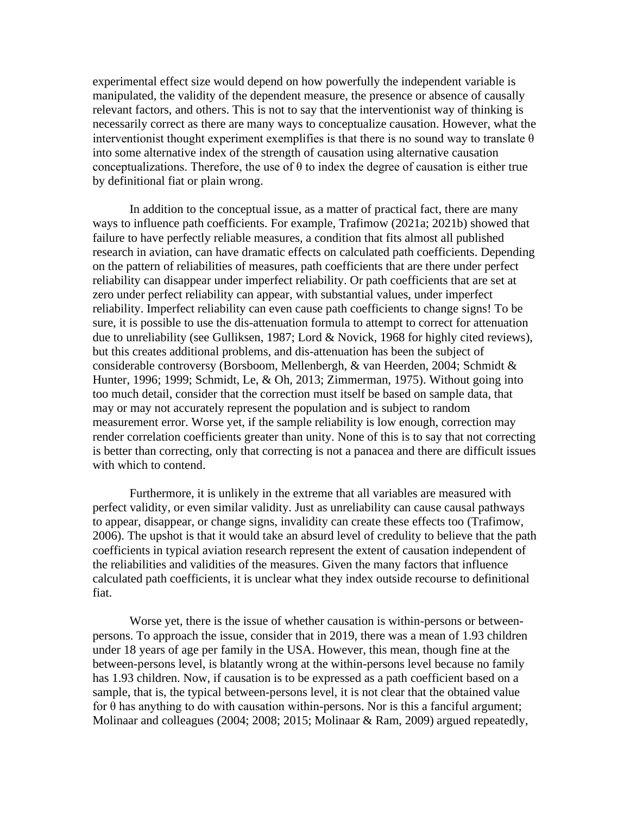experimental effect size would depend on how powerfully the independent variable is manipulated, the validity of the dependent measure, the presence or absence of causally relevant factors, and others. This is not to say that the interventionist way of thinking is necessarily correct as there are many ways to conceptualize causation. However, what the interventionist thought experiment exemplifies is that there is no sound way to translate  $\theta$ into some alternative index of the strength of causation using alternative causation conceptualizations. Therefore, the use of  $\theta$  to index the degree of causation is either true by definitional fiat or plain wrong.

In addition to the conceptual issue, as a matter of practical fact, there are many ways to influence path coefficients. For example, Trafimow (2021a; 2021b) showed that failure to have perfectly reliable measures, a condition that fits almost all published research in aviation, can have dramatic effects on calculated path coefficients. Depending on the pattern of reliabilities of measures, path coefficients that are there under perfect reliability can disappear under imperfect reliability. Or path coefficients that are set at zero under perfect reliability can appear, with substantial values, under imperfect reliability. Imperfect reliability can even cause path coefficients to change signs! To be sure, it is possible to use the dis-attenuation formula to attempt to correct for attenuation due to unreliability (see Gulliksen, 1987; Lord & Novick, 1968 for highly cited reviews), but this creates additional problems, and dis-attenuation has been the subject of considerable controversy (Borsboom, Mellenbergh, & van Heerden, 2004; Schmidt & Hunter, 1996; 1999; Schmidt, Le, & Oh, 2013; Zimmerman, 1975). Without going into too much detail, consider that the correction must itself be based on sample data, that may or may not accurately represent the population and is subject to random measurement error. Worse yet, if the sample reliability is low enough, correction may render correlation coefficients greater than unity. None of this is to say that not correcting is better than correcting, only that correcting is not a panacea and there are difficult issues with which to contend.

Furthermore, it is unlikely in the extreme that all variables are measured with perfect validity, or even similar validity. Just as unreliability can cause causal pathways to appear, disappear, or change signs, invalidity can create these effects too (Trafimow, 2006). The upshot is that it would take an absurd level of credulity to believe that the path coefficients in typical aviation research represent the extent of causation independent of the reliabilities and validities of the measures. Given the many factors that influence calculated path coefficients, it is unclear what they index outside recourse to definitional fiat.

Worse yet, there is the issue of whether causation is within-persons or betweenpersons. To approach the issue, consider that in 2019, there was a mean of 1.93 children under 18 years of age per family in the USA. However, this mean, though fine at the between-persons level, is blatantly wrong at the within-persons level because no family has 1.93 children. Now, if causation is to be expressed as a path coefficient based on a sample, that is, the typical between-persons level, it is not clear that the obtained value for  $\theta$  has anything to do with causation within-persons. Nor is this a fanciful argument; Molinaar and colleagues (2004; 2008; 2015; Molinaar & Ram, 2009) argued repeatedly,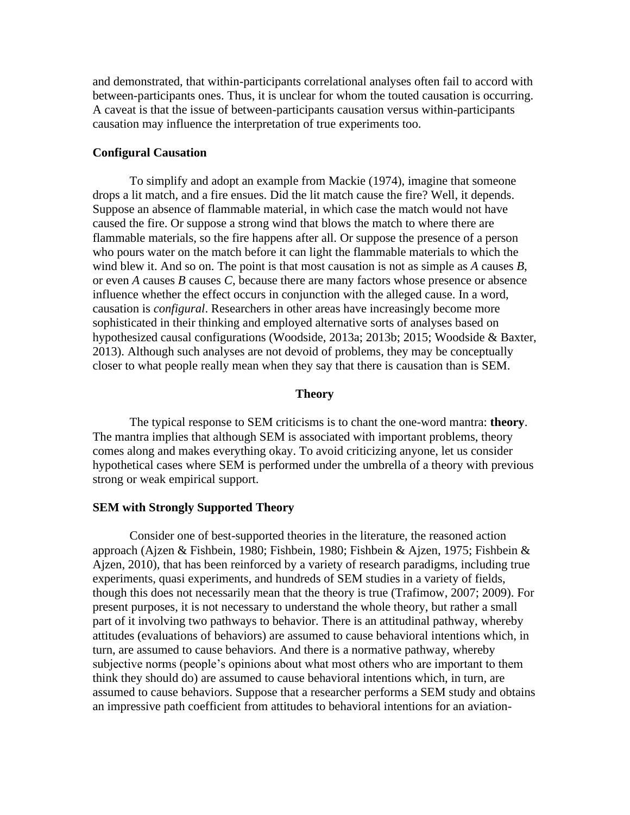and demonstrated, that within-participants correlational analyses often fail to accord with between-participants ones. Thus, it is unclear for whom the touted causation is occurring. A caveat is that the issue of between-participants causation versus within-participants causation may influence the interpretation of true experiments too.

# **Configural Causation**

To simplify and adopt an example from Mackie (1974), imagine that someone drops a lit match, and a fire ensues. Did the lit match cause the fire? Well, it depends. Suppose an absence of flammable material, in which case the match would not have caused the fire. Or suppose a strong wind that blows the match to where there are flammable materials, so the fire happens after all. Or suppose the presence of a person who pours water on the match before it can light the flammable materials to which the wind blew it. And so on. The point is that most causation is not as simple as *A* causes *B*, or even *A* causes *B* causes *C*, because there are many factors whose presence or absence influence whether the effect occurs in conjunction with the alleged cause. In a word, causation is *configural*. Researchers in other areas have increasingly become more sophisticated in their thinking and employed alternative sorts of analyses based on hypothesized causal configurations (Woodside, 2013a; 2013b; 2015; Woodside & Baxter, 2013). Although such analyses are not devoid of problems, they may be conceptually closer to what people really mean when they say that there is causation than is SEM.

#### **Theory**

The typical response to SEM criticisms is to chant the one-word mantra: **theory**. The mantra implies that although SEM is associated with important problems, theory comes along and makes everything okay. To avoid criticizing anyone, let us consider hypothetical cases where SEM is performed under the umbrella of a theory with previous strong or weak empirical support.

#### **SEM with Strongly Supported Theory**

Consider one of best-supported theories in the literature, the reasoned action approach (Ajzen & Fishbein, 1980; Fishbein, 1980; Fishbein & Ajzen, 1975; Fishbein & Ajzen, 2010), that has been reinforced by a variety of research paradigms, including true experiments, quasi experiments, and hundreds of SEM studies in a variety of fields, though this does not necessarily mean that the theory is true (Trafimow, 2007; 2009). For present purposes, it is not necessary to understand the whole theory, but rather a small part of it involving two pathways to behavior. There is an attitudinal pathway, whereby attitudes (evaluations of behaviors) are assumed to cause behavioral intentions which, in turn, are assumed to cause behaviors. And there is a normative pathway, whereby subjective norms (people's opinions about what most others who are important to them think they should do) are assumed to cause behavioral intentions which, in turn, are assumed to cause behaviors. Suppose that a researcher performs a SEM study and obtains an impressive path coefficient from attitudes to behavioral intentions for an aviation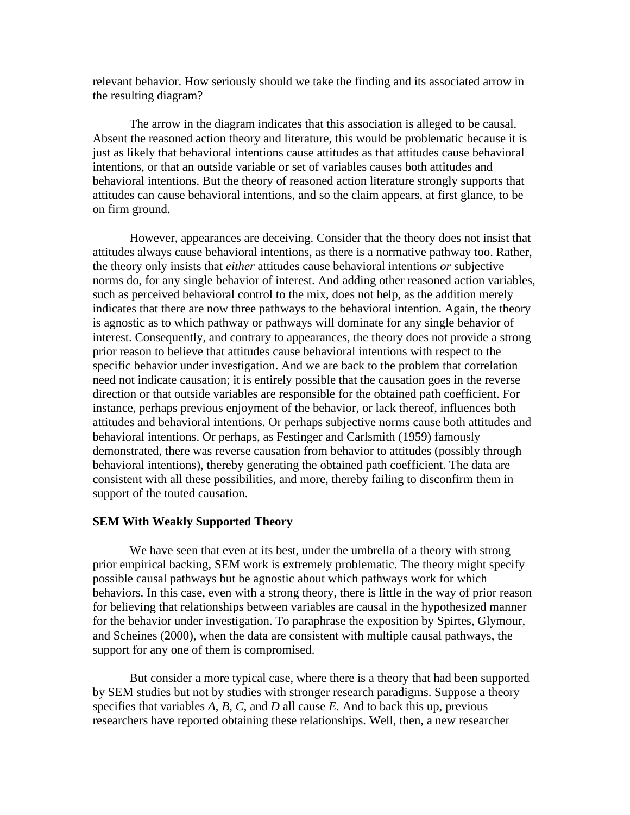relevant behavior. How seriously should we take the finding and its associated arrow in the resulting diagram?

The arrow in the diagram indicates that this association is alleged to be causal. Absent the reasoned action theory and literature, this would be problematic because it is just as likely that behavioral intentions cause attitudes as that attitudes cause behavioral intentions, or that an outside variable or set of variables causes both attitudes and behavioral intentions. But the theory of reasoned action literature strongly supports that attitudes can cause behavioral intentions, and so the claim appears, at first glance, to be on firm ground.

However, appearances are deceiving. Consider that the theory does not insist that attitudes always cause behavioral intentions, as there is a normative pathway too. Rather, the theory only insists that *either* attitudes cause behavioral intentions *or* subjective norms do, for any single behavior of interest. And adding other reasoned action variables, such as perceived behavioral control to the mix, does not help, as the addition merely indicates that there are now three pathways to the behavioral intention. Again, the theory is agnostic as to which pathway or pathways will dominate for any single behavior of interest. Consequently, and contrary to appearances, the theory does not provide a strong prior reason to believe that attitudes cause behavioral intentions with respect to the specific behavior under investigation. And we are back to the problem that correlation need not indicate causation; it is entirely possible that the causation goes in the reverse direction or that outside variables are responsible for the obtained path coefficient. For instance, perhaps previous enjoyment of the behavior, or lack thereof, influences both attitudes and behavioral intentions. Or perhaps subjective norms cause both attitudes and behavioral intentions. Or perhaps, as Festinger and Carlsmith (1959) famously demonstrated, there was reverse causation from behavior to attitudes (possibly through behavioral intentions), thereby generating the obtained path coefficient. The data are consistent with all these possibilities, and more, thereby failing to disconfirm them in support of the touted causation.

# **SEM With Weakly Supported Theory**

We have seen that even at its best, under the umbrella of a theory with strong prior empirical backing, SEM work is extremely problematic. The theory might specify possible causal pathways but be agnostic about which pathways work for which behaviors. In this case, even with a strong theory, there is little in the way of prior reason for believing that relationships between variables are causal in the hypothesized manner for the behavior under investigation. To paraphrase the exposition by Spirtes, Glymour, and Scheines (2000), when the data are consistent with multiple causal pathways, the support for any one of them is compromised.

But consider a more typical case, where there is a theory that had been supported by SEM studies but not by studies with stronger research paradigms. Suppose a theory specifies that variables *A*, *B*, *C*, and *D* all cause *E*. And to back this up, previous researchers have reported obtaining these relationships. Well, then, a new researcher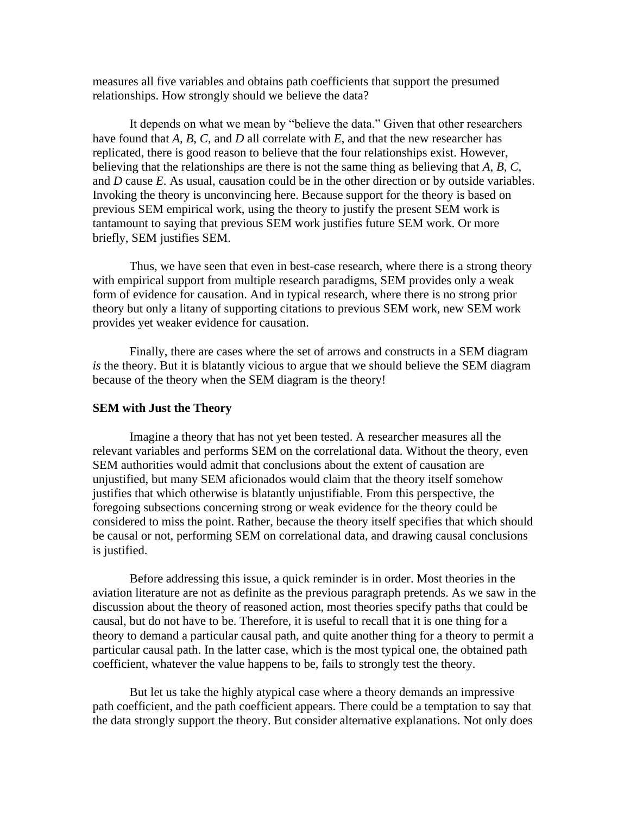measures all five variables and obtains path coefficients that support the presumed relationships. How strongly should we believe the data?

It depends on what we mean by "believe the data." Given that other researchers have found that *A*, *B*, *C*, and *D* all correlate with *E*, and that the new researcher has replicated, there is good reason to believe that the four relationships exist. However, believing that the relationships are there is not the same thing as believing that *A*, *B*, *C*, and *D* cause *E*. As usual, causation could be in the other direction or by outside variables. Invoking the theory is unconvincing here. Because support for the theory is based on previous SEM empirical work, using the theory to justify the present SEM work is tantamount to saying that previous SEM work justifies future SEM work. Or more briefly, SEM justifies SEM.

Thus, we have seen that even in best-case research, where there is a strong theory with empirical support from multiple research paradigms, SEM provides only a weak form of evidence for causation. And in typical research, where there is no strong prior theory but only a litany of supporting citations to previous SEM work, new SEM work provides yet weaker evidence for causation.

Finally, there are cases where the set of arrows and constructs in a SEM diagram *is* the theory. But it is blatantly vicious to argue that we should believe the SEM diagram because of the theory when the SEM diagram is the theory!

## **SEM with Just the Theory**

Imagine a theory that has not yet been tested. A researcher measures all the relevant variables and performs SEM on the correlational data. Without the theory, even SEM authorities would admit that conclusions about the extent of causation are unjustified, but many SEM aficionados would claim that the theory itself somehow justifies that which otherwise is blatantly unjustifiable. From this perspective, the foregoing subsections concerning strong or weak evidence for the theory could be considered to miss the point. Rather, because the theory itself specifies that which should be causal or not, performing SEM on correlational data, and drawing causal conclusions is justified.

Before addressing this issue, a quick reminder is in order. Most theories in the aviation literature are not as definite as the previous paragraph pretends. As we saw in the discussion about the theory of reasoned action, most theories specify paths that could be causal, but do not have to be. Therefore, it is useful to recall that it is one thing for a theory to demand a particular causal path, and quite another thing for a theory to permit a particular causal path. In the latter case, which is the most typical one, the obtained path coefficient, whatever the value happens to be, fails to strongly test the theory.

But let us take the highly atypical case where a theory demands an impressive path coefficient, and the path coefficient appears. There could be a temptation to say that the data strongly support the theory. But consider alternative explanations. Not only does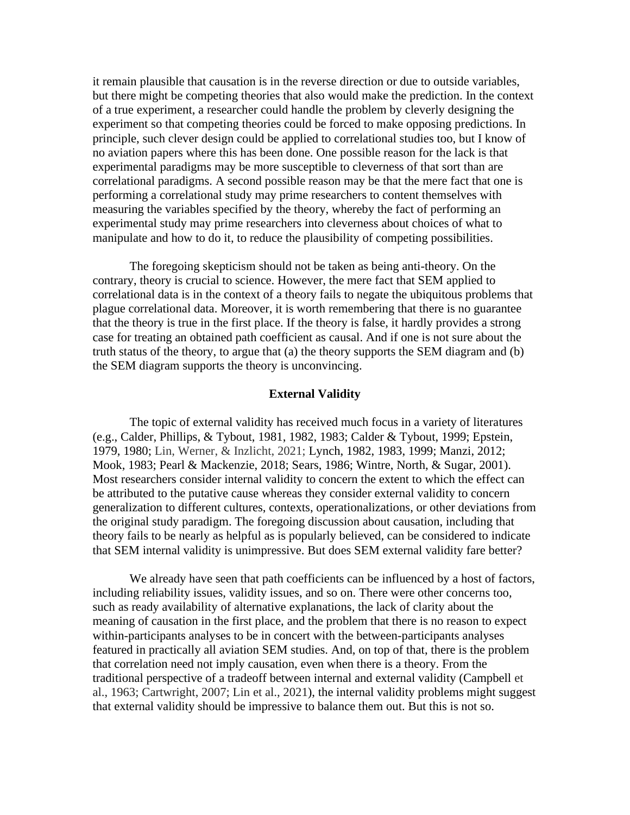it remain plausible that causation is in the reverse direction or due to outside variables, but there might be competing theories that also would make the prediction. In the context of a true experiment, a researcher could handle the problem by cleverly designing the experiment so that competing theories could be forced to make opposing predictions. In principle, such clever design could be applied to correlational studies too, but I know of no aviation papers where this has been done. One possible reason for the lack is that experimental paradigms may be more susceptible to cleverness of that sort than are correlational paradigms. A second possible reason may be that the mere fact that one is performing a correlational study may prime researchers to content themselves with measuring the variables specified by the theory, whereby the fact of performing an experimental study may prime researchers into cleverness about choices of what to manipulate and how to do it, to reduce the plausibility of competing possibilities.

The foregoing skepticism should not be taken as being anti-theory. On the contrary, theory is crucial to science. However, the mere fact that SEM applied to correlational data is in the context of a theory fails to negate the ubiquitous problems that plague correlational data. Moreover, it is worth remembering that there is no guarantee that the theory is true in the first place. If the theory is false, it hardly provides a strong case for treating an obtained path coefficient as causal. And if one is not sure about the truth status of the theory, to argue that (a) the theory supports the SEM diagram and (b) the SEM diagram supports the theory is unconvincing.

#### **External Validity**

The topic of external validity has received much focus in a variety of literatures (e.g., Calder, Phillips, & Tybout, 1981, 1982, 1983; Calder & Tybout, 1999; Epstein, 1979, 1980; Lin, Werner, & Inzlicht, 2021; Lynch, 1982, 1983, 1999; Manzi, 2012; Mook, 1983; Pearl & Mackenzie, 2018; Sears, 1986; Wintre, North, & Sugar, 2001). Most researchers consider internal validity to concern the extent to which the effect can be attributed to the putative cause whereas they consider external validity to concern generalization to different cultures, contexts, operationalizations, or other deviations from the original study paradigm. The foregoing discussion about causation, including that theory fails to be nearly as helpful as is popularly believed, can be considered to indicate that SEM internal validity is unimpressive. But does SEM external validity fare better?

We already have seen that path coefficients can be influenced by a host of factors, including reliability issues, validity issues, and so on. There were other concerns too, such as ready availability of alternative explanations, the lack of clarity about the meaning of causation in the first place, and the problem that there is no reason to expect within-participants analyses to be in concert with the between-participants analyses featured in practically all aviation SEM studies. And, on top of that, there is the problem that correlation need not imply causation, even when there is a theory. From the traditional perspective of a tradeoff between internal and external validity (Campbell et al., 1963; Cartwright, 2007; Lin et al., 2021), the internal validity problems might suggest that external validity should be impressive to balance them out. But this is not so.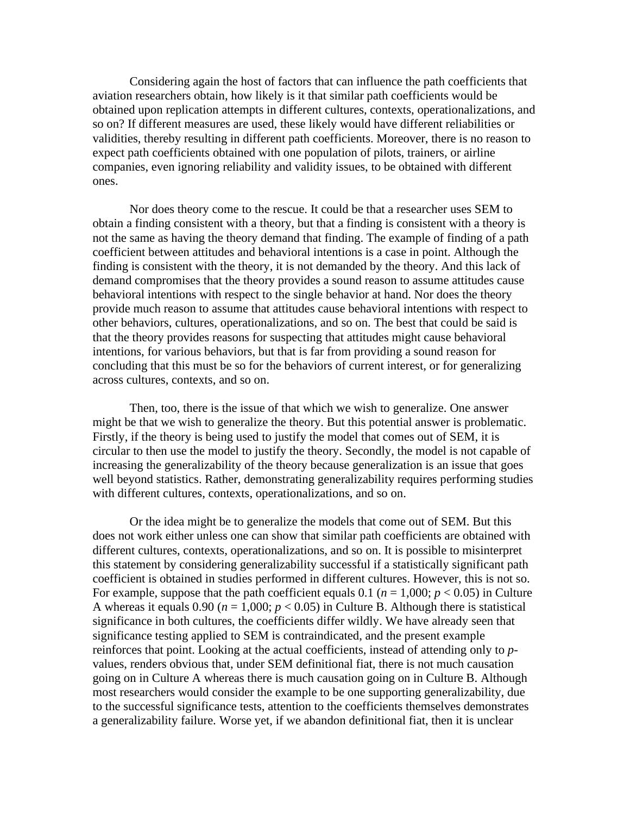Considering again the host of factors that can influence the path coefficients that aviation researchers obtain, how likely is it that similar path coefficients would be obtained upon replication attempts in different cultures, contexts, operationalizations, and so on? If different measures are used, these likely would have different reliabilities or validities, thereby resulting in different path coefficients. Moreover, there is no reason to expect path coefficients obtained with one population of pilots, trainers, or airline companies, even ignoring reliability and validity issues, to be obtained with different ones.

Nor does theory come to the rescue. It could be that a researcher uses SEM to obtain a finding consistent with a theory, but that a finding is consistent with a theory is not the same as having the theory demand that finding. The example of finding of a path coefficient between attitudes and behavioral intentions is a case in point. Although the finding is consistent with the theory, it is not demanded by the theory. And this lack of demand compromises that the theory provides a sound reason to assume attitudes cause behavioral intentions with respect to the single behavior at hand. Nor does the theory provide much reason to assume that attitudes cause behavioral intentions with respect to other behaviors, cultures, operationalizations, and so on. The best that could be said is that the theory provides reasons for suspecting that attitudes might cause behavioral intentions, for various behaviors, but that is far from providing a sound reason for concluding that this must be so for the behaviors of current interest, or for generalizing across cultures, contexts, and so on.

Then, too, there is the issue of that which we wish to generalize. One answer might be that we wish to generalize the theory. But this potential answer is problematic. Firstly, if the theory is being used to justify the model that comes out of SEM, it is circular to then use the model to justify the theory. Secondly, the model is not capable of increasing the generalizability of the theory because generalization is an issue that goes well beyond statistics. Rather, demonstrating generalizability requires performing studies with different cultures, contexts, operationalizations, and so on.

Or the idea might be to generalize the models that come out of SEM. But this does not work either unless one can show that similar path coefficients are obtained with different cultures, contexts, operationalizations, and so on. It is possible to misinterpret this statement by considering generalizability successful if a statistically significant path coefficient is obtained in studies performed in different cultures. However, this is not so. For example, suppose that the path coefficient equals 0.1 ( $n = 1,000$ ;  $p < 0.05$ ) in Culture A whereas it equals 0.90 ( $n = 1,000$ ;  $p < 0.05$ ) in Culture B. Although there is statistical significance in both cultures, the coefficients differ wildly. We have already seen that significance testing applied to SEM is contraindicated, and the present example reinforces that point. Looking at the actual coefficients, instead of attending only to *p*values, renders obvious that, under SEM definitional fiat, there is not much causation going on in Culture A whereas there is much causation going on in Culture B. Although most researchers would consider the example to be one supporting generalizability, due to the successful significance tests, attention to the coefficients themselves demonstrates a generalizability failure. Worse yet, if we abandon definitional fiat, then it is unclear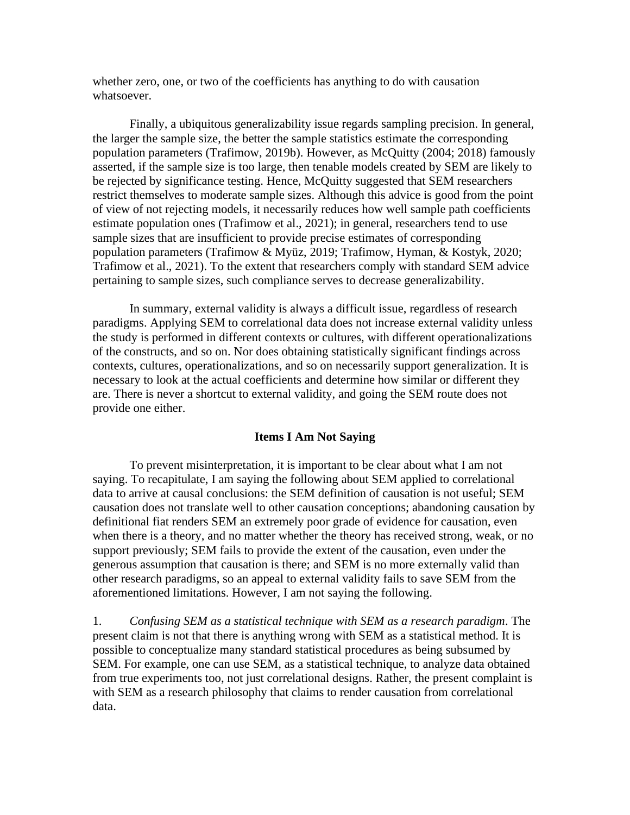whether zero, one, or two of the coefficients has anything to do with causation whatsoever.

Finally, a ubiquitous generalizability issue regards sampling precision. In general, the larger the sample size, the better the sample statistics estimate the corresponding population parameters (Trafimow, 2019b). However, as McQuitty (2004; 2018) famously asserted, if the sample size is too large, then tenable models created by SEM are likely to be rejected by significance testing. Hence, McQuitty suggested that SEM researchers restrict themselves to moderate sample sizes. Although this advice is good from the point of view of not rejecting models, it necessarily reduces how well sample path coefficients estimate population ones (Trafimow et al., 2021); in general, researchers tend to use sample sizes that are insufficient to provide precise estimates of corresponding population parameters (Trafimow & Myüz, 2019; Trafimow, Hyman, & Kostyk, 2020; Trafimow et al., 2021). To the extent that researchers comply with standard SEM advice pertaining to sample sizes, such compliance serves to decrease generalizability.

In summary, external validity is always a difficult issue, regardless of research paradigms. Applying SEM to correlational data does not increase external validity unless the study is performed in different contexts or cultures, with different operationalizations of the constructs, and so on. Nor does obtaining statistically significant findings across contexts, cultures, operationalizations, and so on necessarily support generalization. It is necessary to look at the actual coefficients and determine how similar or different they are. There is never a shortcut to external validity, and going the SEM route does not provide one either.

# **Items I Am Not Saying**

To prevent misinterpretation, it is important to be clear about what I am not saying. To recapitulate, I am saying the following about SEM applied to correlational data to arrive at causal conclusions: the SEM definition of causation is not useful; SEM causation does not translate well to other causation conceptions; abandoning causation by definitional fiat renders SEM an extremely poor grade of evidence for causation, even when there is a theory, and no matter whether the theory has received strong, weak, or no support previously; SEM fails to provide the extent of the causation, even under the generous assumption that causation is there; and SEM is no more externally valid than other research paradigms, so an appeal to external validity fails to save SEM from the aforementioned limitations. However, I am not saying the following.

1. *Confusing SEM as a statistical technique with SEM as a research paradigm*. The present claim is not that there is anything wrong with SEM as a statistical method. It is possible to conceptualize many standard statistical procedures as being subsumed by SEM. For example, one can use SEM, as a statistical technique, to analyze data obtained from true experiments too, not just correlational designs. Rather, the present complaint is with SEM as a research philosophy that claims to render causation from correlational data.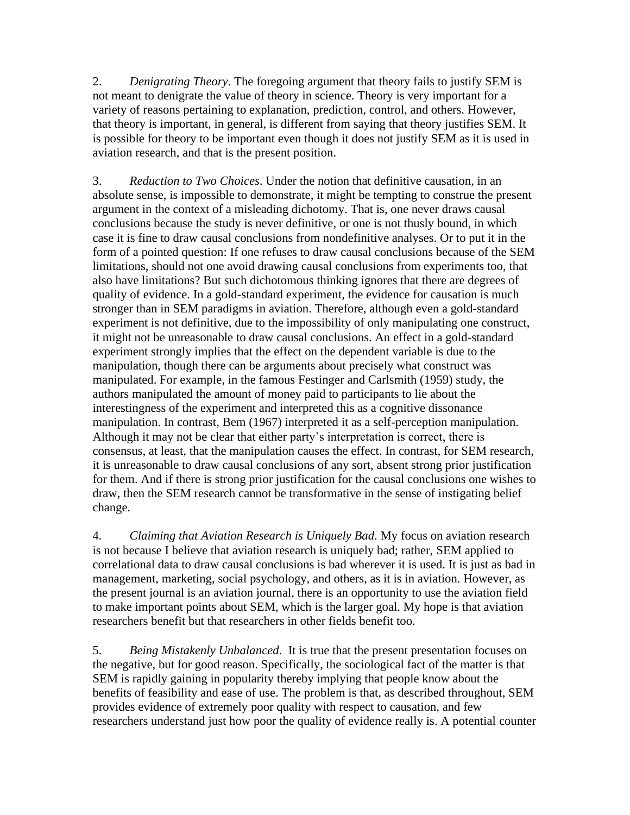2. *Denigrating Theory*. The foregoing argument that theory fails to justify SEM is not meant to denigrate the value of theory in science. Theory is very important for a variety of reasons pertaining to explanation, prediction, control, and others. However, that theory is important, in general, is different from saying that theory justifies SEM. It is possible for theory to be important even though it does not justify SEM as it is used in aviation research, and that is the present position.

3. *Reduction to Two Choices*. Under the notion that definitive causation, in an absolute sense, is impossible to demonstrate, it might be tempting to construe the present argument in the context of a misleading dichotomy. That is, one never draws causal conclusions because the study is never definitive, or one is not thusly bound, in which case it is fine to draw causal conclusions from nondefinitive analyses. Or to put it in the form of a pointed question: If one refuses to draw causal conclusions because of the SEM limitations, should not one avoid drawing causal conclusions from experiments too, that also have limitations? But such dichotomous thinking ignores that there are degrees of quality of evidence. In a gold-standard experiment, the evidence for causation is much stronger than in SEM paradigms in aviation. Therefore, although even a gold-standard experiment is not definitive, due to the impossibility of only manipulating one construct, it might not be unreasonable to draw causal conclusions. An effect in a gold-standard experiment strongly implies that the effect on the dependent variable is due to the manipulation, though there can be arguments about precisely what construct was manipulated. For example, in the famous Festinger and Carlsmith (1959) study, the authors manipulated the amount of money paid to participants to lie about the interestingness of the experiment and interpreted this as a cognitive dissonance manipulation. In contrast, Bem (1967) interpreted it as a self-perception manipulation. Although it may not be clear that either party's interpretation is correct, there is consensus, at least, that the manipulation causes the effect. In contrast, for SEM research, it is unreasonable to draw causal conclusions of any sort, absent strong prior justification for them. And if there is strong prior justification for the causal conclusions one wishes to draw, then the SEM research cannot be transformative in the sense of instigating belief change.

4. *Claiming that Aviation Research is Uniquely Bad*. My focus on aviation research is not because I believe that aviation research is uniquely bad; rather, SEM applied to correlational data to draw causal conclusions is bad wherever it is used. It is just as bad in management, marketing, social psychology, and others, as it is in aviation. However, as the present journal is an aviation journal, there is an opportunity to use the aviation field to make important points about SEM, which is the larger goal. My hope is that aviation researchers benefit but that researchers in other fields benefit too.

5. *Being Mistakenly Unbalanced*. It is true that the present presentation focuses on the negative, but for good reason. Specifically, the sociological fact of the matter is that SEM is rapidly gaining in popularity thereby implying that people know about the benefits of feasibility and ease of use. The problem is that, as described throughout, SEM provides evidence of extremely poor quality with respect to causation, and few researchers understand just how poor the quality of evidence really is. A potential counter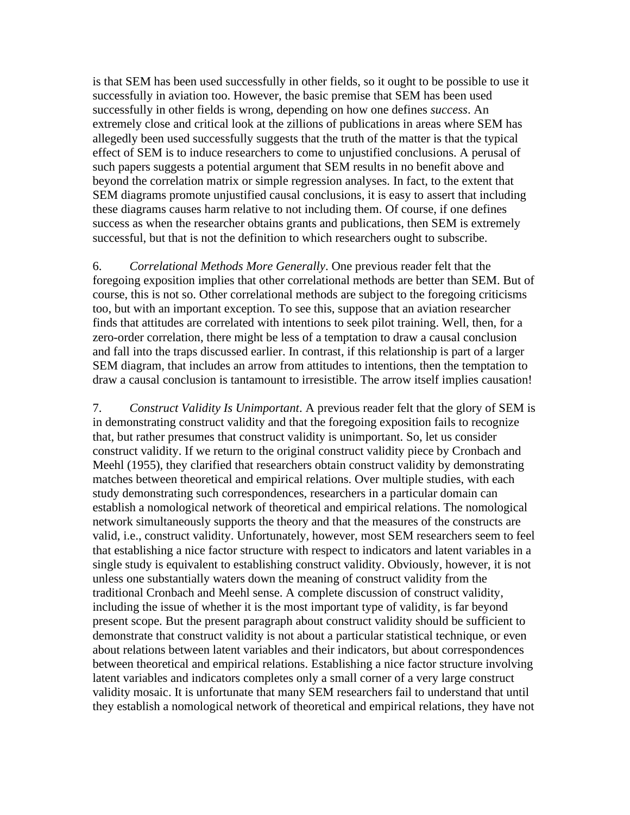is that SEM has been used successfully in other fields, so it ought to be possible to use it successfully in aviation too. However, the basic premise that SEM has been used successfully in other fields is wrong, depending on how one defines *success*. An extremely close and critical look at the zillions of publications in areas where SEM has allegedly been used successfully suggests that the truth of the matter is that the typical effect of SEM is to induce researchers to come to unjustified conclusions. A perusal of such papers suggests a potential argument that SEM results in no benefit above and beyond the correlation matrix or simple regression analyses. In fact, to the extent that SEM diagrams promote unjustified causal conclusions, it is easy to assert that including these diagrams causes harm relative to not including them. Of course, if one defines success as when the researcher obtains grants and publications, then SEM is extremely successful, but that is not the definition to which researchers ought to subscribe.

6. *Correlational Methods More Generally*. One previous reader felt that the foregoing exposition implies that other correlational methods are better than SEM. But of course, this is not so. Other correlational methods are subject to the foregoing criticisms too, but with an important exception. To see this, suppose that an aviation researcher finds that attitudes are correlated with intentions to seek pilot training. Well, then, for a zero-order correlation, there might be less of a temptation to draw a causal conclusion and fall into the traps discussed earlier. In contrast, if this relationship is part of a larger SEM diagram, that includes an arrow from attitudes to intentions, then the temptation to draw a causal conclusion is tantamount to irresistible. The arrow itself implies causation!

7. *Construct Validity Is Unimportant*. A previous reader felt that the glory of SEM is in demonstrating construct validity and that the foregoing exposition fails to recognize that, but rather presumes that construct validity is unimportant. So, let us consider construct validity. If we return to the original construct validity piece by Cronbach and Meehl (1955), they clarified that researchers obtain construct validity by demonstrating matches between theoretical and empirical relations. Over multiple studies, with each study demonstrating such correspondences, researchers in a particular domain can establish a nomological network of theoretical and empirical relations. The nomological network simultaneously supports the theory and that the measures of the constructs are valid, i.e., construct validity. Unfortunately, however, most SEM researchers seem to feel that establishing a nice factor structure with respect to indicators and latent variables in a single study is equivalent to establishing construct validity. Obviously, however, it is not unless one substantially waters down the meaning of construct validity from the traditional Cronbach and Meehl sense. A complete discussion of construct validity, including the issue of whether it is the most important type of validity, is far beyond present scope. But the present paragraph about construct validity should be sufficient to demonstrate that construct validity is not about a particular statistical technique, or even about relations between latent variables and their indicators, but about correspondences between theoretical and empirical relations. Establishing a nice factor structure involving latent variables and indicators completes only a small corner of a very large construct validity mosaic. It is unfortunate that many SEM researchers fail to understand that until they establish a nomological network of theoretical and empirical relations, they have not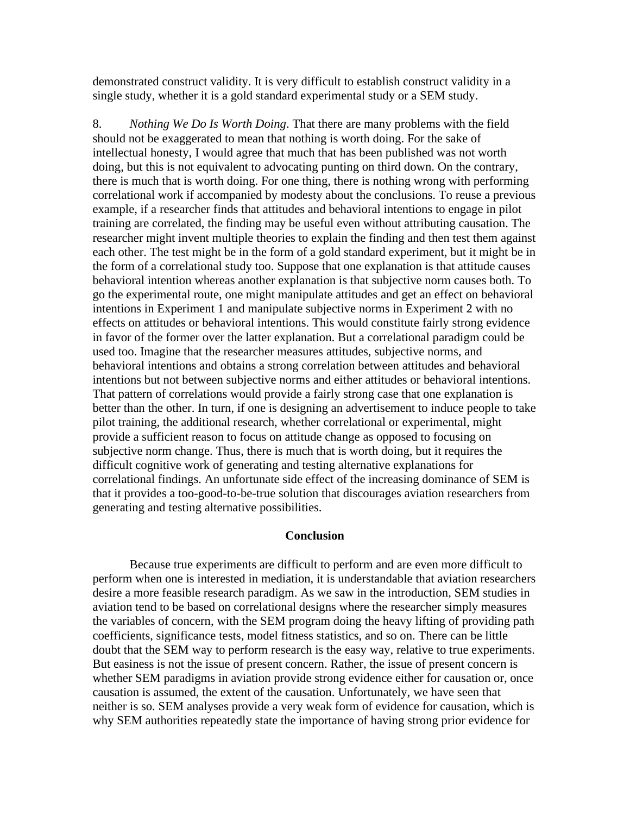demonstrated construct validity. It is very difficult to establish construct validity in a single study, whether it is a gold standard experimental study or a SEM study.

8. *Nothing We Do Is Worth Doing*. That there are many problems with the field should not be exaggerated to mean that nothing is worth doing. For the sake of intellectual honesty, I would agree that much that has been published was not worth doing, but this is not equivalent to advocating punting on third down. On the contrary, there is much that is worth doing. For one thing, there is nothing wrong with performing correlational work if accompanied by modesty about the conclusions. To reuse a previous example, if a researcher finds that attitudes and behavioral intentions to engage in pilot training are correlated, the finding may be useful even without attributing causation. The researcher might invent multiple theories to explain the finding and then test them against each other. The test might be in the form of a gold standard experiment, but it might be in the form of a correlational study too. Suppose that one explanation is that attitude causes behavioral intention whereas another explanation is that subjective norm causes both. To go the experimental route, one might manipulate attitudes and get an effect on behavioral intentions in Experiment 1 and manipulate subjective norms in Experiment 2 with no effects on attitudes or behavioral intentions. This would constitute fairly strong evidence in favor of the former over the latter explanation. But a correlational paradigm could be used too. Imagine that the researcher measures attitudes, subjective norms, and behavioral intentions and obtains a strong correlation between attitudes and behavioral intentions but not between subjective norms and either attitudes or behavioral intentions. That pattern of correlations would provide a fairly strong case that one explanation is better than the other. In turn, if one is designing an advertisement to induce people to take pilot training, the additional research, whether correlational or experimental, might provide a sufficient reason to focus on attitude change as opposed to focusing on subjective norm change. Thus, there is much that is worth doing, but it requires the difficult cognitive work of generating and testing alternative explanations for correlational findings. An unfortunate side effect of the increasing dominance of SEM is that it provides a too-good-to-be-true solution that discourages aviation researchers from generating and testing alternative possibilities.

# **Conclusion**

Because true experiments are difficult to perform and are even more difficult to perform when one is interested in mediation, it is understandable that aviation researchers desire a more feasible research paradigm. As we saw in the introduction, SEM studies in aviation tend to be based on correlational designs where the researcher simply measures the variables of concern, with the SEM program doing the heavy lifting of providing path coefficients, significance tests, model fitness statistics, and so on. There can be little doubt that the SEM way to perform research is the easy way, relative to true experiments. But easiness is not the issue of present concern. Rather, the issue of present concern is whether SEM paradigms in aviation provide strong evidence either for causation or, once causation is assumed, the extent of the causation. Unfortunately, we have seen that neither is so. SEM analyses provide a very weak form of evidence for causation, which is why SEM authorities repeatedly state the importance of having strong prior evidence for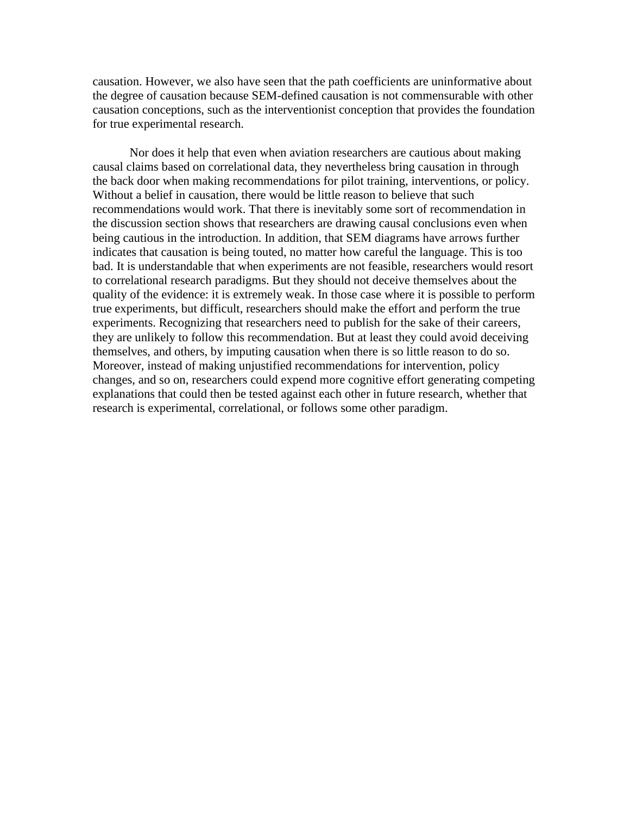causation. However, we also have seen that the path coefficients are uninformative about the degree of causation because SEM-defined causation is not commensurable with other causation conceptions, such as the interventionist conception that provides the foundation for true experimental research.

Nor does it help that even when aviation researchers are cautious about making causal claims based on correlational data, they nevertheless bring causation in through the back door when making recommendations for pilot training, interventions, or policy. Without a belief in causation, there would be little reason to believe that such recommendations would work. That there is inevitably some sort of recommendation in the discussion section shows that researchers are drawing causal conclusions even when being cautious in the introduction. In addition, that SEM diagrams have arrows further indicates that causation is being touted, no matter how careful the language. This is too bad. It is understandable that when experiments are not feasible, researchers would resort to correlational research paradigms. But they should not deceive themselves about the quality of the evidence: it is extremely weak. In those case where it is possible to perform true experiments, but difficult, researchers should make the effort and perform the true experiments. Recognizing that researchers need to publish for the sake of their careers, they are unlikely to follow this recommendation. But at least they could avoid deceiving themselves, and others, by imputing causation when there is so little reason to do so. Moreover, instead of making unjustified recommendations for intervention, policy changes, and so on, researchers could expend more cognitive effort generating competing explanations that could then be tested against each other in future research, whether that research is experimental, correlational, or follows some other paradigm.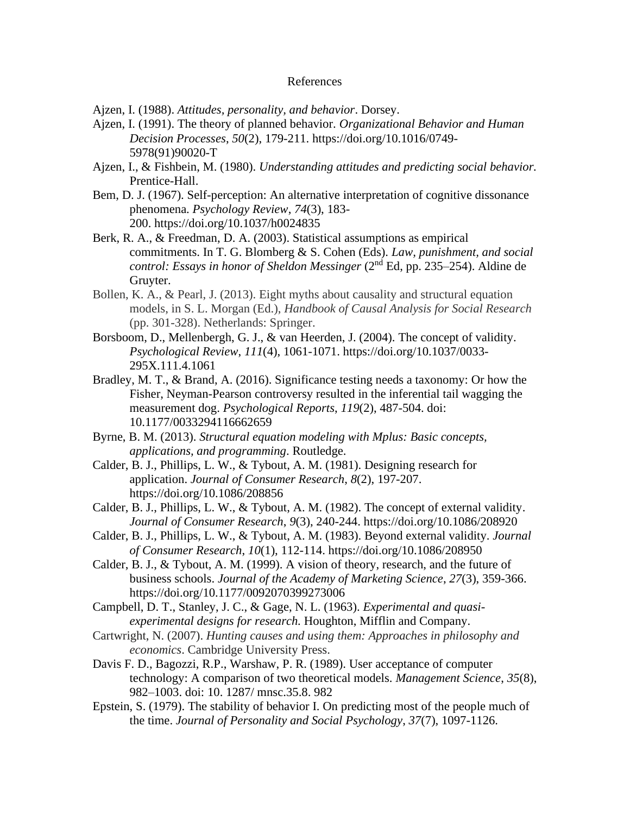#### References

Ajzen, I. (1988). *Attitudes, personality, and behavior*. Dorsey.

- Ajzen, I. (1991). The theory of planned behavior. *Organizational Behavior and Human Decision Processes*, *50*(2), 179-211. https://doi.org[/10.1016/0749-](https://www.researchgate.net/deref/http%3A%2F%2Fdx.doi.org%2F10.1016%2F0749-5978(91)90020-T?_sg%5B0%5D=gtRII5RxT2e4Eg3mSKPF6MvOMfvQ1rRqONiaEWYHrM9rHQCxVj7mijoSjslu7y8niy7NOU0trydYlEqVsirYIXHlAA.MwXsUgnYX6YAGq7VnQpRnBKuO_ugIW4Tk4BqxcvteQFJOI-GxN40KH1GlSIAytYihiLpCHxaxwt8So6XHo5waA) [5978\(91\)90020-T](https://www.researchgate.net/deref/http%3A%2F%2Fdx.doi.org%2F10.1016%2F0749-5978(91)90020-T?_sg%5B0%5D=gtRII5RxT2e4Eg3mSKPF6MvOMfvQ1rRqONiaEWYHrM9rHQCxVj7mijoSjslu7y8niy7NOU0trydYlEqVsirYIXHlAA.MwXsUgnYX6YAGq7VnQpRnBKuO_ugIW4Tk4BqxcvteQFJOI-GxN40KH1GlSIAytYihiLpCHxaxwt8So6XHo5waA)
- Ajzen, I., & Fishbein, M. (1980). *Understanding attitudes and predicting social behavior.*  Prentice-Hall.
- Bem, D. J. (1967). Self-perception: An alternative interpretation of cognitive dissonance phenomena. *Psychology Review*, *74*(3), 183- 200. [https://doi.org/10.1037/h0024835](https://psycnet.apa.org/doi/10.1037/h0024835)
- Berk, R. A., & Freedman, D. A. (2003). Statistical assumptions as empirical commitments. In T. G. Blomberg & S. Cohen (Eds). *Law, punishment, and social control: Essays in honor of Sheldon Messinger* (2nd Ed, pp. 235–254). Aldine de Gruyter.
- Bollen, K. A., & Pearl, J. (2013). Eight myths about causality and structural equation models, in S. L. Morgan (Ed.), *Handbook of Causal Analysis for Social Research* (pp. 301-328). Netherlands: Springer.
- Borsboom, D., Mellenbergh, G. J., & van Heerden, J. (2004). The concept of validity. *Psychological Review*, *111*(4), 1061-1071. https://doi.org/10.1037/0033- 295X.111.4.1061
- Bradley, M. T., & Brand, A. (2016). Significance testing needs a taxonomy: Or how the Fisher, Neyman-Pearson controversy resulted in the inferential tail wagging the measurement dog. *Psychological Reports*, *119*(2), 487-504. doi: 10.1177/0033294116662659
- Byrne, B. M. (2013). *Structural equation modeling with Mplus: Basic concepts, applications, and programming*. Routledge.
- Calder, B. J., Phillips, L. W., & Tybout, A. M. (1981). Designing research for application. *Journal of Consumer Research*, *8*(2), 197-207. https://doi.org/10.1086/208856
- Calder, B. J., Phillips, L. W., & Tybout, A. M. (1982). The concept of external validity. *Journal of Consumer Research*, *9*(3), 240-244. https://doi.org[/10.1086/208920](https://www.researchgate.net/deref/http%3A%2F%2Fdx.doi.org%2F10.1086%2F208920)
- Calder, B. J., Phillips, L. W., & Tybout, A. M. (1983). Beyond external validity. *Journal of Consumer Research*, *10*(1), 112-114. https://doi.org/10.1086/208950
- Calder, B. J., & Tybout, A. M. (1999). A vision of theory, research, and the future of business schools. *Journal of the Academy of Marketing Science*, *27*(3), 359-366. https://doi.org[/10.1177/0092070399273006](https://www.researchgate.net/deref/http%3A%2F%2Fdx.doi.org%2F10.1177%2F0092070399273006)
- Campbell, D. T., Stanley, J. C., & Gage, N. L. (1963). *Experimental and quasiexperimental designs for research.* Houghton, Mifflin and Company.
- Cartwright, N. (2007). *Hunting causes and using them: Approaches in philosophy and economics*. Cambridge University Press.
- Davis F. D., Bagozzi, R.P., Warshaw, P. R. (1989). User acceptance of computer technology: A comparison of two theoretical models. *Management Science*, *35*(8), 982–1003. doi: 10. 1287/ mnsc.35.8. 982
- Epstein, S. (1979). The stability of behavior I. On predicting most of the people much of the time. *Journal of Personality and Social Psychology*, *37*(7), 1097-1126.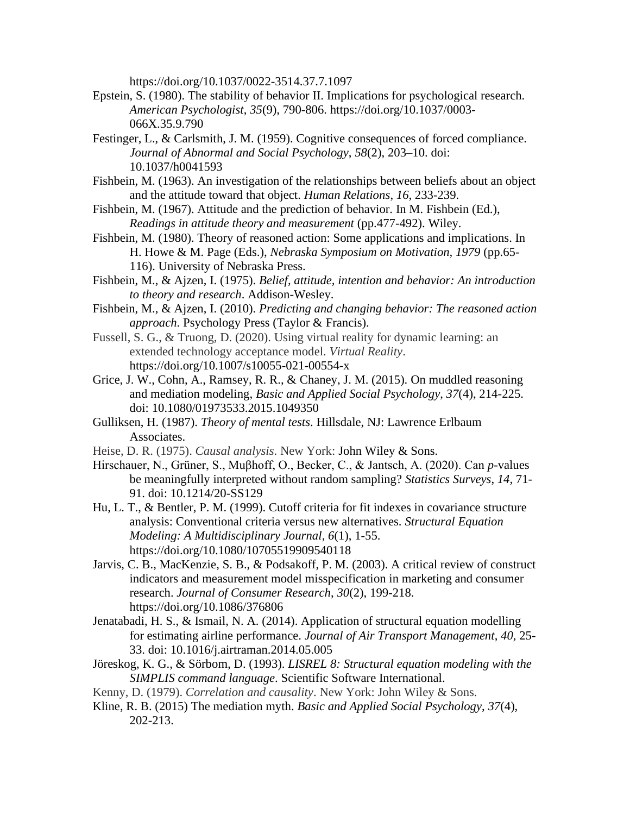https://doi.org[/10.1037/0022-3514.37.7.1097](https://www.researchgate.net/deref/http%3A%2F%2Fdx.doi.org%2F10.1037%2F0022-3514.37.7.1097)

- Epstein, S. (1980). The stability of behavior II. Implications for psychological research. *American Psychologist*, *35*(9), 790-806. https://doi.org[/10.1037/0003-](https://www.researchgate.net/deref/http%3A%2F%2Fdx.doi.org%2F10.1037%2F0003-066X.35.9.790) [066X.35.9.790](https://www.researchgate.net/deref/http%3A%2F%2Fdx.doi.org%2F10.1037%2F0003-066X.35.9.790)
- Festinger, L., & Carlsmith, J. M. (1959). Cognitive consequences of forced compliance. *Journal of Abnormal and Social Psychology*, *58*(2), 203–10. doi: 10.1037/h0041593
- Fishbein, M. (1963). An investigation of the relationships between beliefs about an object and the attitude toward that object. *Human Relations*, *16*, 233-239.
- Fishbein, M. (1967). Attitude and the prediction of behavior. In M. Fishbein (Ed.), *Readings in attitude theory and measurement* (pp.477-492). Wiley.
- Fishbein, M. (1980). Theory of reasoned action: Some applications and implications. In H. Howe & M. Page (Eds.), *Nebraska Symposium on Motivation, 1979* (pp.65- 116). University of Nebraska Press.
- Fishbein, M., & Ajzen, I. (1975). *Belief, attitude, intention and behavior: An introduction to theory and research*. Addison-Wesley.
- Fishbein, M., & Ajzen, I. (2010). *Predicting and changing behavior: The reasoned action approach*. Psychology Press (Taylor & Francis).
- Fussell, S. G., & Truong, D. (2020). Using virtual reality for dynamic learning: an extended technology acceptance model. *Virtual Reality*. https://doi.org/10.1007/s10055-021-00554-x
- Grice, J. W., Cohn, A., Ramsey, R. R., & Chaney, J. M. (2015). On muddled reasoning and mediation modeling, *Basic and Applied Social Psychology*, *37*(4), 214-225. doi: 10.1080/01973533.2015.1049350
- Gulliksen, H. (1987). *Theory of mental tests*. Hillsdale, NJ: Lawrence Erlbaum Associates.
- Heise, D. R. (1975). *Causal analysis*. New York: John Wiley & Sons.
- Hirschauer, N., Grüner, S., Mußhoff, O., Becker, C., & Jantsch, A. (2020). Can *p*-values be meaningfully interpreted without random sampling? *Statistics Surveys*, *14*, 71- 91. doi: 10.1214/20-SS129
- Hu, L. T., & Bentler, P. M. (1999). Cutoff criteria for fit indexes in covariance structure analysis: Conventional criteria versus new alternatives. *Structural Equation Modeling: A Multidisciplinary Journal*, *6*(1), 1-55. https://doi.org/10.1080/10705519909540118
- Jarvis, C. B., MacKenzie, S. B., & Podsakoff, P. M. (2003). A critical review of construct indicators and measurement model misspecification in marketing and consumer research. *Journal of Consumer Research*, *30*(2), 199-218. https://doi.org/10.1086/376806
- Jenatabadi, H. S., & Ismail, N. A. (2014). Application of structural equation modelling for estimating airline performance. *Journal of Air Transport Management*, *40*, 25- 33. doi: 10.1016/j.airtraman.2014.05.005
- Jöreskog, K. G., & Sörbom, D. (1993). *LISREL 8: Structural equation modeling with the SIMPLIS command language*. Scientific Software International.
- Kenny, D. (1979). *Correlation and causality*. New York: John Wiley & Sons.
- Kline, R. B. (2015) The mediation myth. *Basic and Applied Social Psychology*, *37*(4), 202-213.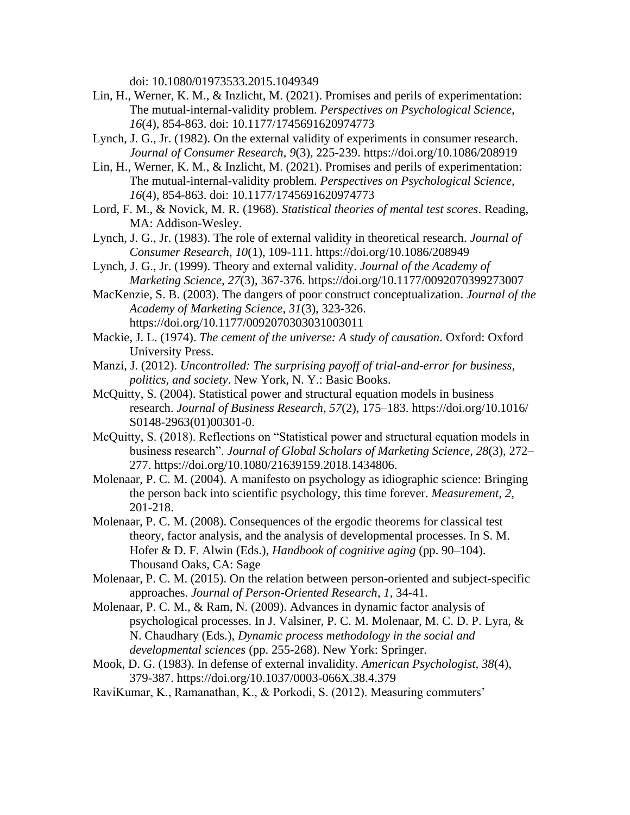doi: 10.1080/01973533.2015.1049349

- Lin, H., Werner, K. M., & Inzlicht, M. (2021). Promises and perils of experimentation: The mutual-internal-validity problem. *Perspectives on Psychological Science*, *16*(4), 854-863. doi: 10.1177/1745691620974773
- Lynch, J. G., Jr. (1982). On the external validity of experiments in consumer research. *Journal of Consumer Research*, *9*(3), 225-239. https://doi.org/10.1086/208919
- Lin, H., Werner, K. M., & Inzlicht, M. (2021). Promises and perils of experimentation: The mutual-internal-validity problem. *Perspectives on Psychological Science*, *16*(4), 854-863. doi: 10.1177/1745691620974773
- Lord, F. M., & Novick, M. R. (1968). *Statistical theories of mental test scores*. Reading, MA: Addison-Wesley.
- Lynch, J. G., Jr. (1983). The role of external validity in theoretical research. *Journal of Consumer Research*, *10*(1), 109-111. https://doi.org/10.1086/208949
- Lynch, J. G., Jr. (1999). Theory and external validity. *Journal of the Academy of Marketing Science*, *27*(3), 367-376. https://doi.org[/10.1177/0092070399273007](https://www.researchgate.net/deref/http%3A%2F%2Fdx.doi.org%2F10.1177%2F0092070399273007)
- MacKenzie, S. B. (2003). The dangers of poor construct conceptualization. *Journal of the Academy of Marketing Science*, *31*(3), 323-326. https://doi.org/10.1177/0092070303031003011
- Mackie, J. L. (1974). *The cement of the universe: A study of causation*. Oxford: Oxford University Press.
- Manzi, J. (2012). *Uncontrolled: The surprising payoff of trial-and-error for business, politics, and society*. New York, N. Y.: Basic Books.
- McQuitty, S. (2004). Statistical power and structural equation models in business research. *Journal of Business Research*, *57*(2), 175–183. https://doi.org/10.1016/ S0148-2963(01)00301-0.
- McQuitty, S. (2018). Reflections on "Statistical power and structural equation models in business research". *Journal of Global Scholars of Marketing Science*, *28*(3), 272– 277. https://doi.org/10.1080/21639159.2018.1434806.
- Molenaar, P. C. M. (2004). A manifesto on psychology as idiographic science: Bringing the person back into scientific psychology, this time forever. *Measurement*, *2*, 201-218.
- Molenaar, P. C. M. (2008). Consequences of the ergodic theorems for classical test theory, factor analysis, and the analysis of developmental processes. In S. M. Hofer & D. F. Alwin (Eds.), *Handbook of cognitive aging* (pp. 90–104). Thousand Oaks, CA: Sage
- Molenaar, P. C. M. (2015). On the relation between person-oriented and subject-specific approaches. *Journal of Person-Oriented Research*, *1*, 34-41.
- Molenaar, P. C. M., & Ram, N. (2009). Advances in dynamic factor analysis of psychological processes. In J. Valsiner, P. C. M. Molenaar, M. C. D. P. Lyra, & N. Chaudhary (Eds.), *Dynamic process methodology in the social and developmental sciences* (pp. 255-268). New York: Springer.
- Mook, D. G. (1983). In defense of external invalidity. *American Psychologist, 38*(4), 379-387. https://doi.org/10.1037/0003-066X.38.4.379
- RaviKumar, K., Ramanathan, K., & Porkodi, S. (2012). Measuring commuters'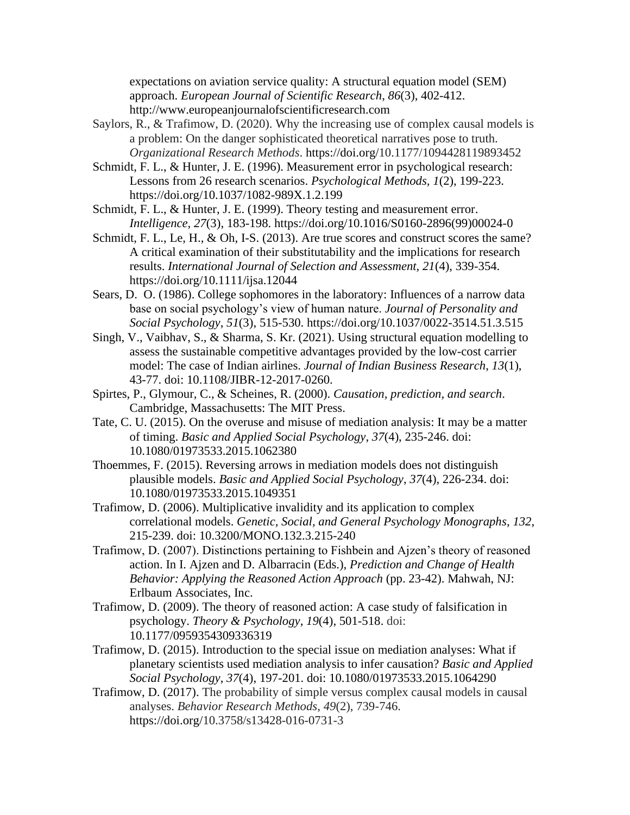expectations on aviation service quality: A structural equation model (SEM) approach. *European Journal of Scientific Research*, *86*(3), 402-412. http://www.europeanjournalofscientificresearch.com

- Saylors, R., & Trafimow, D. (2020). Why the increasing use of complex causal models is a problem: On the danger sophisticated theoretical narratives pose to truth. *Organizational Research Methods*. https://doi.org/10.1177/1094428119893452
- Schmidt, F. L., & Hunter, J. E. (1996). Measurement error in psychological research: Lessons from 26 research scenarios. *Psychological Methods, 1*(2), 199-223. https://doi.org/10.1037/1082-989X.1.2.199
- Schmidt, F. L., & Hunter, J. E. (1999). Theory testing and measurement error. *Intelligence, 27*(3), 183-198. https://doi.org/10.1016/S0160-2896(99)00024-0
- Schmidt, F. L., Le, H., & Oh, I-S. (2013). Are true scores and construct scores the same? A critical examination of their substitutability and the implications for research results. *International Journal of Selection and Assessment, 21*(4), 339-354. https://doi.org/10.1111/ijsa.12044
- Sears, D. O. (1986). College sophomores in the laboratory: Influences of a narrow data base on social psychology's view of human nature. *Journal of Personality and Social Psychology*, *51*(3), 515-530. https://doi.org[/10.1037/0022-3514.51.3.515](https://www.researchgate.net/deref/http%3A%2F%2Fdx.doi.org%2F10.1037%2F0022-3514.51.3.515)
- Singh, V., Vaibhav, S., & Sharma, S. Kr. (2021). Using structural equation modelling to assess the sustainable competitive advantages provided by the low-cost carrier model: The case of Indian airlines. *Journal of Indian Business Research*, *13*(1), 43-77. doi: 10.1108/JIBR-12-2017-0260.
- Spirtes, P., Glymour, C., & Scheines, R. (2000). *Causation, prediction, and search*. Cambridge, Massachusetts: The MIT Press.
- Tate, C. U. (2015). On the overuse and misuse of mediation analysis: It may be a matter of timing. *Basic and Applied Social Psychology*, *37*(4), 235-246. doi: 10.1080/01973533.2015.1062380
- Thoemmes, F. (2015). Reversing arrows in mediation models does not distinguish plausible models. *Basic and Applied Social Psychology*, *37*(4), 226-234. doi: 10.1080/01973533.2015.1049351
- Trafimow, D. (2006). Multiplicative invalidity and its application to complex correlational models. *Genetic, Social, and General Psychology Monographs*, *132*, 215-239. doi: [10.3200/MONO.132.3.215-240](https://doi.org/10.3200/MONO.132.3.215-240)
- Trafimow, D. (2007). Distinctions pertaining to Fishbein and Ajzen's theory of reasoned action. In I. Ajzen and D. Albarracin (Eds.), *Prediction and Change of Health Behavior: Applying the Reasoned Action Approach* (pp. 23-42). Mahwah, NJ: Erlbaum Associates, Inc.
- Trafimow, D. (2009). The theory of reasoned action: A case study of falsification in psychology. *Theory & Psychology*, *19*(4), 501-518. doi: [10.1177/0959354309336319](https://doi.org/10.1177/0959354309336319)
- Trafimow, D. (2015). Introduction to the special issue on mediation analyses: What if planetary scientists used mediation analysis to infer causation? *Basic and Applied Social Psychology*, *37*(4), 197-201. doi: 10.1080/01973533.2015.1064290
- Trafimow, D. (2017). The probability of simple versus complex causal models in causal analyses. *Behavior Research Methods*, *49*(2), 739-746. https://doi.org/10.3758/s13428-016-0731-3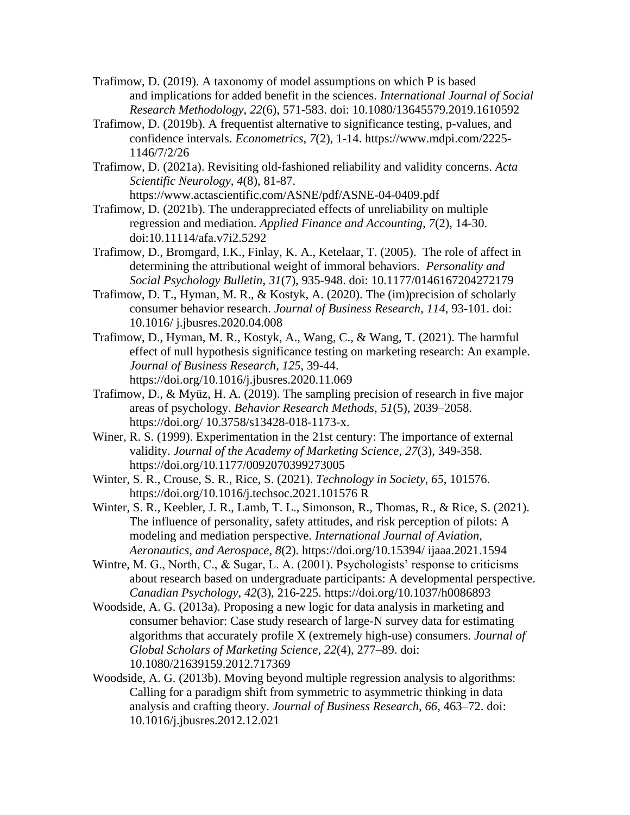- Trafimow, D. (2019). A taxonomy of model assumptions on which P is based and implications for added benefit in the sciences. *International Journal of Social Research Methodology*, *22*(6), 571-583. doi: 10.1080/13645579.2019.1610592
- Trafimow, D. (2019b). A frequentist alternative to significance testing, p-values, and confidence intervals. *Econometrics*, *7*(2), 1-14. https://www.mdpi.com/2225- 1146/7/2/26
- Trafimow, D. (2021a). Revisiting old-fashioned reliability and validity concerns. *Acta Scientific Neurology*, *4*(8), 81-87. <https://www.actascientific.com/ASNE/pdf/ASNE-04-0409.pdf>
- Trafimow, D. (2021b). The underappreciated effects of unreliability on multiple regression and mediation. *Applied Finance and Accounting*, *7*(2), 14-30. doi:10.11114/afa.v7i2.5292
- Trafimow, D., Bromgard, I.K., Finlay, K. A., Ketelaar, T. (2005). The role of affect in determining the attributional weight of immoral behaviors. *Personality and Social Psychology Bulletin*, *31*(7), 935-948. doi: [10.1177/0146167204272179](http://dx.doi.org/10.1177/0146167204272179)
- Trafimow, D. T., Hyman, M. R., & Kostyk, A. (2020). The (im)precision of scholarly consumer behavior research. *Journal of Business Research*, *114*, 93-101. doi: 10.1016/ j.jbusres.2020.04.008
- Trafimow, D., Hyman, M. R., Kostyk, A., Wang, C., & Wang, T. (2021). The harmful effect of null hypothesis significance testing on marketing research: An example. *Journal of Business Research*, *125*, 39-44. <https://doi.org/10.1016/j.jbusres.2020.11.069>
- Trafimow, D., & Myüz, H. A. (2019). The sampling precision of research in five major areas of psychology. *Behavior Research Methods*, *51*(5), 2039–2058. https://doi.org/ 10.3758/s13428-018-1173-x.
- Winer, R. S. (1999). Experimentation in the 21st century: The importance of external validity. *Journal of the Academy of Marketing Science*, *27*(3), 349-358. https://doi.org/10.1177/0092070399273005
- Winter, S. R., Crouse, S. R., Rice, S. (2021). *Technology in Society*, *65*, 101576. https://doi.org/10.1016/j.techsoc.2021.101576 R
- Winter, S. R., Keebler, J. R., Lamb, T. L., Simonson, R., Thomas, R., & Rice, S. (2021). The influence of personality, safety attitudes, and risk perception of pilots: A modeling and mediation perspective. *International Journal of Aviation, Aeronautics, and Aerospace*, *8*(2). https://doi.org/10.15394/ ijaaa.2021.1594
- Wintre, M. G., North, C., & Sugar, L. A. (2001). Psychologists' response to criticisms about research based on undergraduate participants: A developmental perspective. *Canadian Psychology*, *42*(3), 216-225. https://doi.org[/10.1037/h0086893](https://www.researchgate.net/deref/http%3A%2F%2Fdx.doi.org%2F10.1037%2Fh0086893)
- Woodside, A. G. (2013a). Proposing a new logic for data analysis in marketing and consumer behavior: Case study research of large-N survey data for estimating algorithms that accurately profile X (extremely high-use) consumers. *Journal of Global Scholars of Marketing Science*, *22*(4), 277–89. doi: 10.1080/21639159.2012.717369
- Woodside, A. G. (2013b). Moving beyond multiple regression analysis to algorithms: Calling for a paradigm shift from symmetric to asymmetric thinking in data analysis and crafting theory. *Journal of Business Research*, *66*, 463–72. doi: 10.1016/j.jbusres.2012.12.021